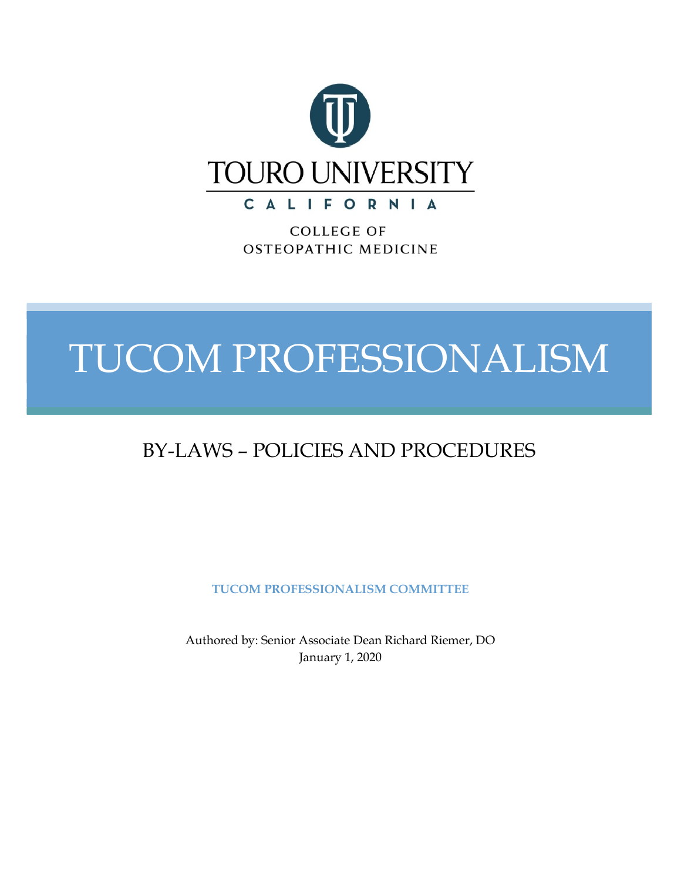

CALIFORNIA

**COLLEGE OF** OSTEOPATHIC MEDICINE

# TUCOM PROFESSIONALISM **TUCOM Professionalism Bylaws –**

# BY-LAWS – POLICIES AND PROCEDURES

**TUCOM PROFESSIONALISM COMMITTEE**

Authored by: Senior Associate Dean Richard Riemer, DO January 1, 2020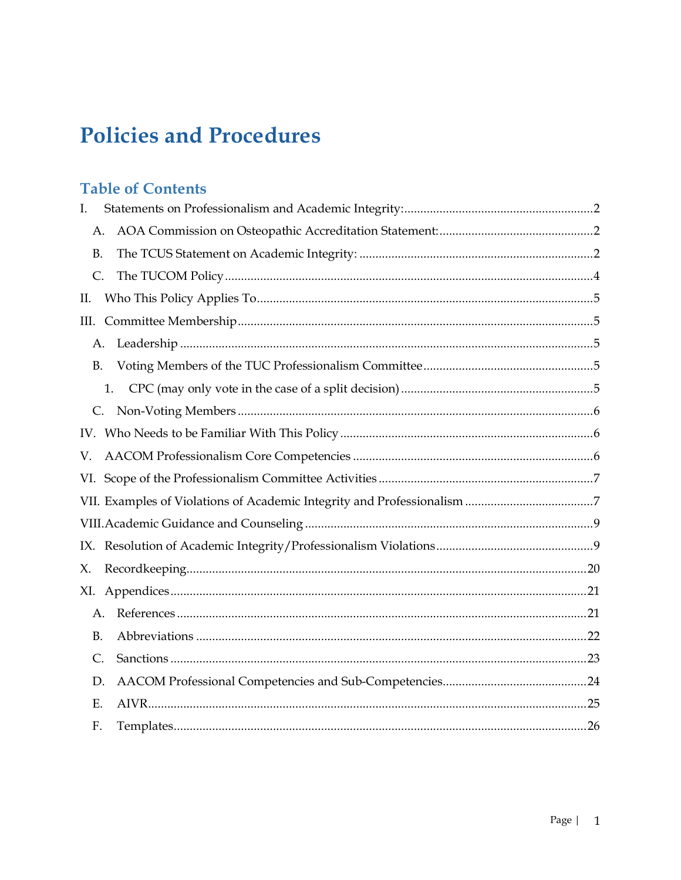# **Policies and Procedures**

# **Table of Contents**

| I.        |  |
|-----------|--|
| А.        |  |
| <b>B.</b> |  |
| C.        |  |
| П.        |  |
| Ш.        |  |
| А.        |  |
| <b>B.</b> |  |
| 1.        |  |
| C.        |  |
|           |  |
| V.        |  |
|           |  |
|           |  |
|           |  |
|           |  |
| Х.        |  |
| XI.       |  |
| A.        |  |
| <b>B.</b> |  |
| C.        |  |
| D.        |  |
| Ε.        |  |
| F.        |  |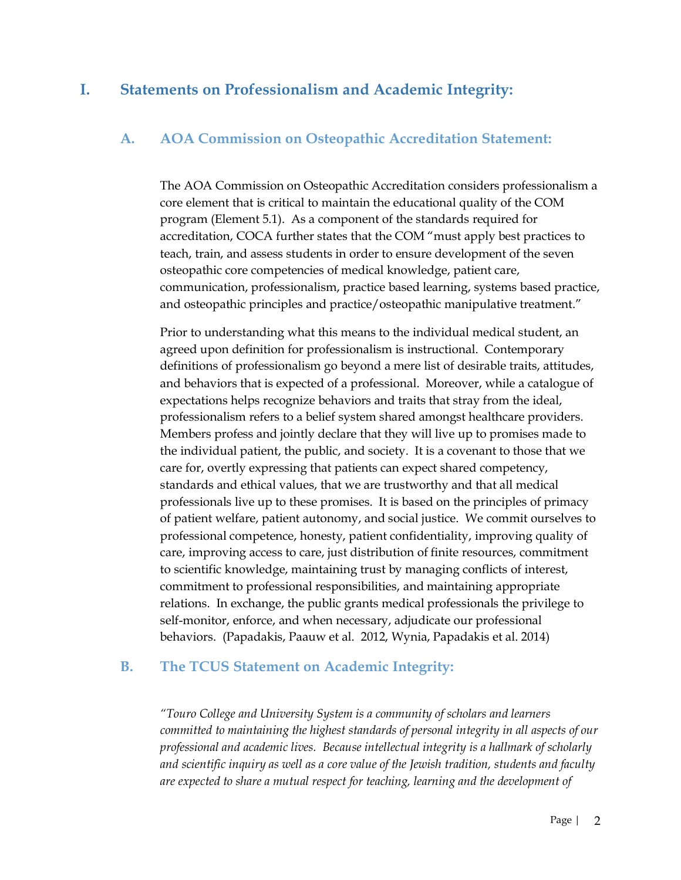### **I. Statements on Professionalism and Academic Integrity:**

#### **A. AOA Commission on Osteopathic Accreditation Statement:**

The AOA Commission on Osteopathic Accreditation considers professionalism a core element that is critical to maintain the educational quality of the COM program (Element 5.1). As a component of the standards required for accreditation, COCA further states that the COM "must apply best practices to teach, train, and assess students in order to ensure development of the seven osteopathic core competencies of medical knowledge, patient care, communication, professionalism, practice based learning, systems based practice, and osteopathic principles and practice/osteopathic manipulative treatment."

Prior to understanding what this means to the individual medical student, an agreed upon definition for professionalism is instructional. Contemporary definitions of professionalism go beyond a mere list of desirable traits, attitudes, and behaviors that is expected of a professional. Moreover, while a catalogue of expectations helps recognize behaviors and traits that stray from the ideal, professionalism refers to a belief system shared amongst healthcare providers. Members profess and jointly declare that they will live up to promises made to the individual patient, the public, and society. It is a covenant to those that we care for, overtly expressing that patients can expect shared competency, standards and ethical values, that we are trustworthy and that all medical professionals live up to these promises. It is based on the principles of primacy of patient welfare, patient autonomy, and social justice. We commit ourselves to professional competence, honesty, patient confidentiality, improving quality of care, improving access to care, just distribution of finite resources, commitment to scientific knowledge, maintaining trust by managing conflicts of interest, commitment to professional responsibilities, and maintaining appropriate relations. In exchange, the public grants medical professionals the privilege to self-monitor, enforce, and when necessary, adjudicate our professional behaviors. (Papadakis, Paauw et al. 2012, Wynia, Papadakis et al. 2014)

#### **B. The TCUS Statement on Academic Integrity:**

*"Touro College and University System is a community of scholars and learners committed to maintaining the highest standards of personal integrity in all aspects of our professional and academic lives. Because intellectual integrity is a hallmark of scholarly and scientific inquiry as well as a core value of the Jewish tradition, students and faculty are expected to share a mutual respect for teaching, learning and the development of*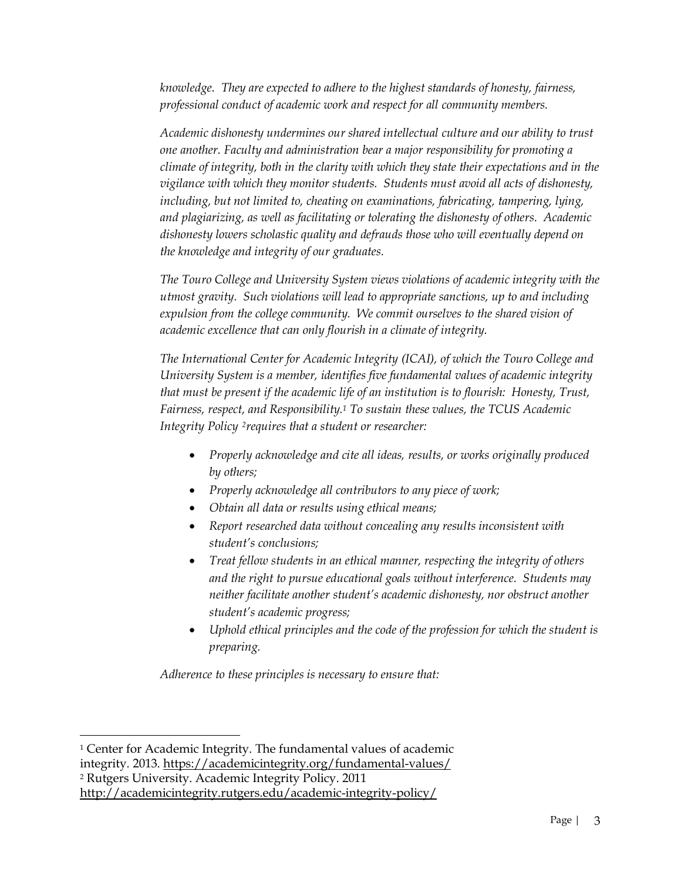*knowledge. They are expected to adhere to the highest standards of honesty, fairness, professional conduct of academic work and respect for all community members.*

*Academic dishonesty undermines our shared intellectual culture and our ability to trust one another. Faculty and administration bear a major responsibility for promoting a climate of integrity, both in the clarity with which they state their expectations and in the vigilance with which they monitor students. Students must avoid all acts of dishonesty, including, but not limited to, cheating on examinations, fabricating, tampering, lying, and plagiarizing, as well as facilitating or tolerating the dishonesty of others. Academic dishonesty lowers scholastic quality and defrauds those who will eventually depend on the knowledge and integrity of our graduates.*

*The Touro College and University System views violations of academic integrity with the utmost gravity. Such violations will lead to appropriate sanctions, up to and including expulsion from the college community. We commit ourselves to the shared vision of academic excellence that can only flourish in a climate of integrity.*

*The International Center for Academic Integrity (ICAI), of which the Touro College and University System is a member, identifies five fundamental values of academic integrity that must be present if the academic life of an institution is to flourish: Honesty, Trust, Fairness, respect, and Responsibility.1 To sustain these values, the TCUS Academic Integrity Policy 2requires that a student or researcher:*

- *Properly acknowledge and cite all ideas, results, or works originally produced by others;*
- *Properly acknowledge all contributors to any piece of work;*
- *Obtain all data or results using ethical means;*
- *Report researched data without concealing any results inconsistent with student's conclusions;*
- *Treat fellow students in an ethical manner, respecting the integrity of others and the right to pursue educational goals without interference. Students may neither facilitate another student's academic dishonesty, nor obstruct another student's academic progress;*
- *Uphold ethical principles and the code of the profession for which the student is preparing.*

*Adherence to these principles is necessary to ensure that:*

 <sup>1</sup> Center for Academic Integrity. The fundamental values of academic

integrity*.* 2013. https://academicintegrity.org/fundamental-values/

<sup>2</sup> Rutgers University. Academic Integrity Policy. 2011

http://academicintegrity.rutgers.edu/academic-integrity-policy/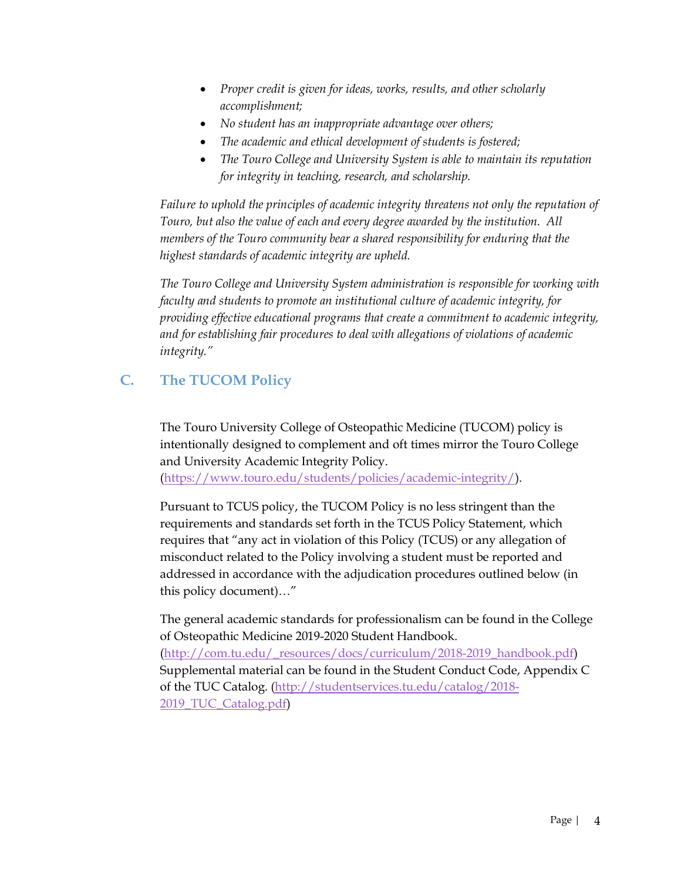- *Proper credit is given for ideas, works, results, and other scholarly accomplishment;*
- *No student has an inappropriate advantage over others;*
- *The academic and ethical development of students is fostered;*
- *The Touro College and University System is able to maintain its reputation for integrity in teaching, research, and scholarship.*

*Failure to uphold the principles of academic integrity threatens not only the reputation of Touro, but also the value of each and every degree awarded by the institution. All members of the Touro community bear a shared responsibility for enduring that the highest standards of academic integrity are upheld.*

*The Touro College and University System administration is responsible for working with faculty and students to promote an institutional culture of academic integrity, for providing effective educational programs that create a commitment to academic integrity, and for establishing fair procedures to deal with allegations of violations of academic integrity."*

# **C. The TUCOM Policy**

The Touro University College of Osteopathic Medicine (TUCOM) policy is intentionally designed to complement and oft times mirror the Touro College and University Academic Integrity Policy. (https://www.touro.edu/students/policies/academic-integrity/).

Pursuant to TCUS policy, the TUCOM Policy is no less stringent than the requirements and standards set forth in the TCUS Policy Statement, which requires that "any act in violation of this Policy (TCUS) or any allegation of misconduct related to the Policy involving a student must be reported and addressed in accordance with the adjudication procedures outlined below (in this policy document)…"

The general academic standards for professionalism can be found in the College of Osteopathic Medicine 2019-2020 Student Handbook. (http://com.tu.edu/\_resources/docs/curriculum/2018-2019\_handbook.pdf) Supplemental material can be found in the Student Conduct Code, Appendix C of the TUC Catalog. (http://studentservices.tu.edu/catalog/2018-

2019\_TUC\_Catalog.pdf)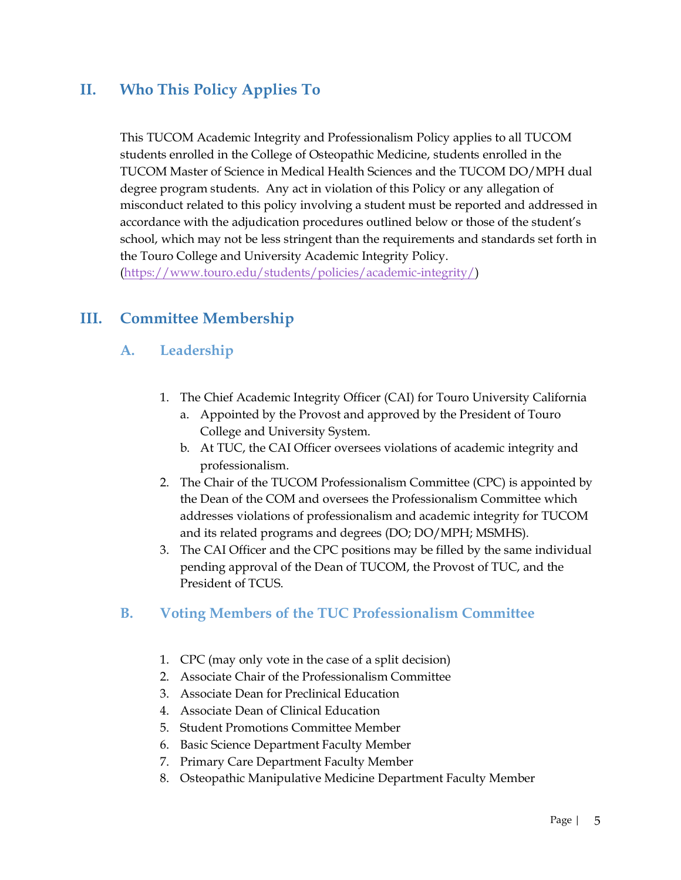# **II. Who This Policy Applies To**

This TUCOM Academic Integrity and Professionalism Policy applies to all TUCOM students enrolled in the College of Osteopathic Medicine, students enrolled in the TUCOM Master of Science in Medical Health Sciences and the TUCOM DO/MPH dual degree program students. Any act in violation of this Policy or any allegation of misconduct related to this policy involving a student must be reported and addressed in accordance with the adjudication procedures outlined below or those of the student's school, which may not be less stringent than the requirements and standards set forth in the Touro College and University Academic Integrity Policy.

(https://www.touro.edu/students/policies/academic-integrity/)

# **III. Committee Membership**

#### **A. Leadership**

- 1. The Chief Academic Integrity Officer (CAI) for Touro University California
	- a. Appointed by the Provost and approved by the President of Touro College and University System.
	- b. At TUC, the CAI Officer oversees violations of academic integrity and professionalism.
- 2. The Chair of the TUCOM Professionalism Committee (CPC) is appointed by the Dean of the COM and oversees the Professionalism Committee which addresses violations of professionalism and academic integrity for TUCOM and its related programs and degrees (DO; DO/MPH; MSMHS).
- 3. The CAI Officer and the CPC positions may be filled by the same individual pending approval of the Dean of TUCOM, the Provost of TUC, and the President of TCUS.

## **B. Voting Members of the TUC Professionalism Committee**

- 1. CPC (may only vote in the case of a split decision)
- 2. Associate Chair of the Professionalism Committee
- 3. Associate Dean for Preclinical Education
- 4. Associate Dean of Clinical Education
- 5. Student Promotions Committee Member
- 6. Basic Science Department Faculty Member
- 7. Primary Care Department Faculty Member
- 8. Osteopathic Manipulative Medicine Department Faculty Member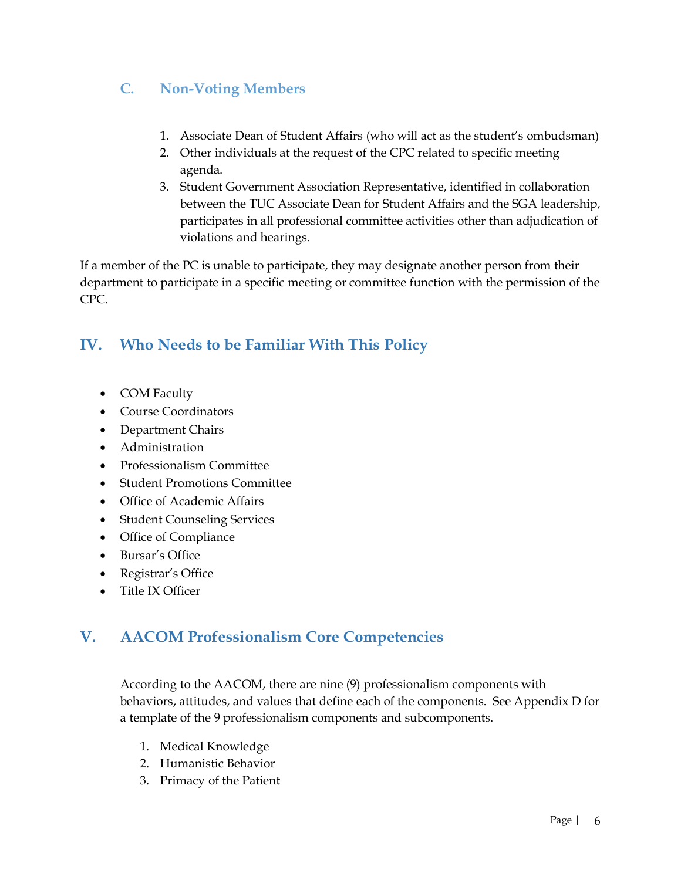# **C. Non-Voting Members**

- 1. Associate Dean of Student Affairs (who will act as the student's ombudsman)
- 2. Other individuals at the request of the CPC related to specific meeting agenda.
- 3. Student Government Association Representative, identified in collaboration between the TUC Associate Dean for Student Affairs and the SGA leadership, participates in all professional committee activities other than adjudication of violations and hearings.

If a member of the PC is unable to participate, they may designate another person from their department to participate in a specific meeting or committee function with the permission of the CPC.

# **IV. Who Needs to be Familiar With This Policy**

- COM Faculty
- Course Coordinators
- Department Chairs
- Administration
- Professionalism Committee
- Student Promotions Committee
- Office of Academic Affairs
- Student Counseling Services
- Office of Compliance
- Bursar's Office
- Registrar's Office
- Title IX Officer

# **V. AACOM Professionalism Core Competencies**

According to the AACOM, there are nine (9) professionalism components with behaviors, attitudes, and values that define each of the components. See Appendix D for a template of the 9 professionalism components and subcomponents.

- 1. Medical Knowledge
- 2. Humanistic Behavior
- 3. Primacy of the Patient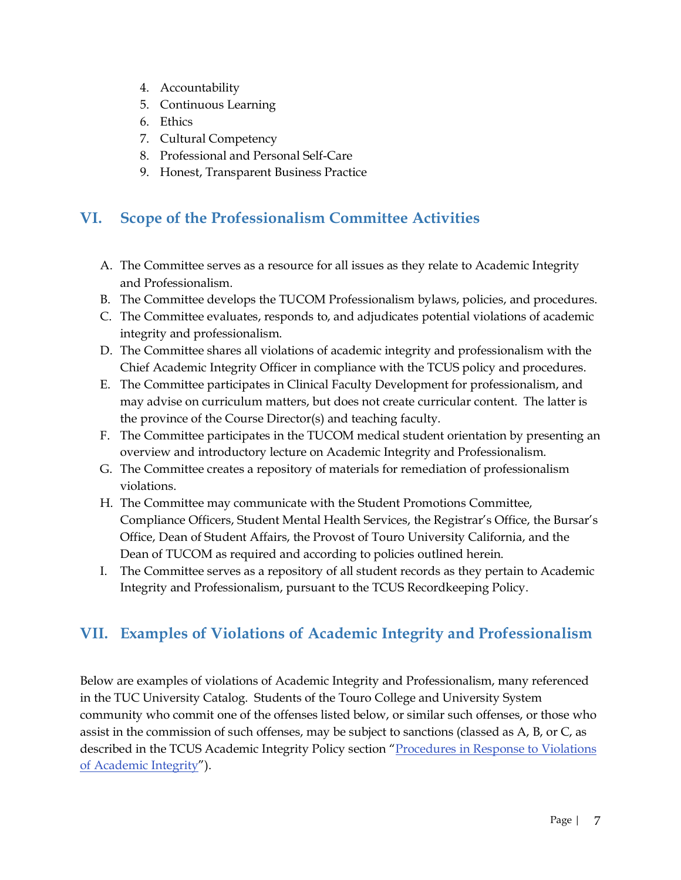- 4. Accountability
- 5. Continuous Learning
- 6. Ethics
- 7. Cultural Competency
- 8. Professional and Personal Self-Care
- 9. Honest, Transparent Business Practice

# **VI. Scope of the Professionalism Committee Activities**

- A. The Committee serves as a resource for all issues as they relate to Academic Integrity and Professionalism.
- B. The Committee develops the TUCOM Professionalism bylaws, policies, and procedures.
- C. The Committee evaluates, responds to, and adjudicates potential violations of academic integrity and professionalism.
- D. The Committee shares all violations of academic integrity and professionalism with the Chief Academic Integrity Officer in compliance with the TCUS policy and procedures.
- E. The Committee participates in Clinical Faculty Development for professionalism, and may advise on curriculum matters, but does not create curricular content. The latter is the province of the Course Director(s) and teaching faculty.
- F. The Committee participates in the TUCOM medical student orientation by presenting an overview and introductory lecture on Academic Integrity and Professionalism.
- G. The Committee creates a repository of materials for remediation of professionalism violations.
- H. The Committee may communicate with the Student Promotions Committee, Compliance Officers, Student Mental Health Services, the Registrar's Office, the Bursar's Office, Dean of Student Affairs, the Provost of Touro University California, and the Dean of TUCOM as required and according to policies outlined herein.
- I. The Committee serves as a repository of all student records as they pertain to Academic Integrity and Professionalism, pursuant to the TCUS Recordkeeping Policy.

# **VII. Examples of Violations of Academic Integrity and Professionalism**

Below are examples of violations of Academic Integrity and Professionalism, many referenced in the TUC University Catalog. Students of the Touro College and University System community who commit one of the offenses listed below, or similar such offenses, or those who assist in the commission of such offenses, may be subject to sanctions (classed as A, B, or C, as described in the TCUS Academic Integrity Policy section "Procedures in Response to Violations of Academic Integrity").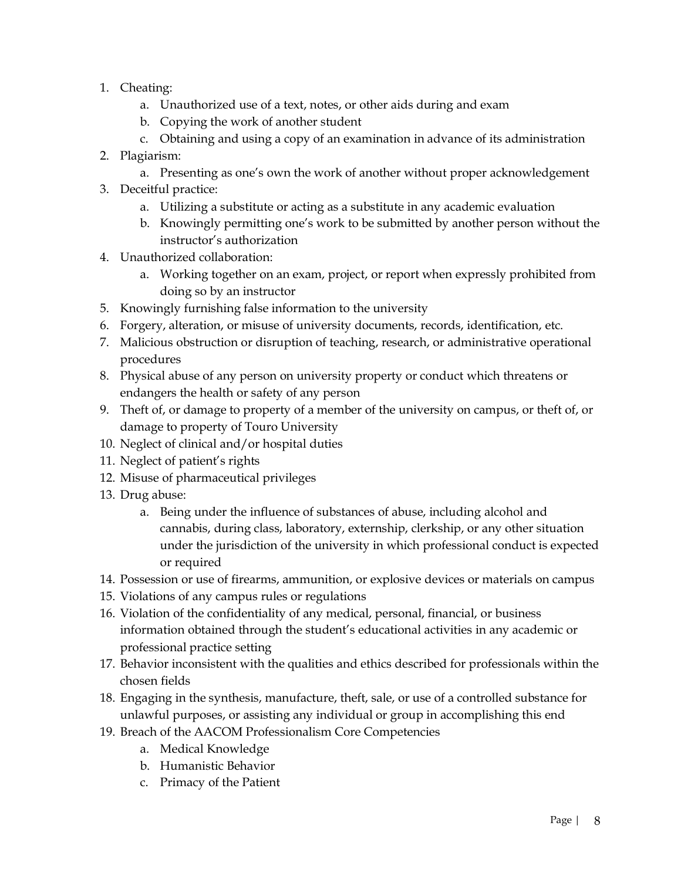- 1. Cheating:
	- a. Unauthorized use of a text, notes, or other aids during and exam
	- b. Copying the work of another student
	- c. Obtaining and using a copy of an examination in advance of its administration
- 2. Plagiarism:
	- a. Presenting as one's own the work of another without proper acknowledgement
- 3. Deceitful practice:
	- a. Utilizing a substitute or acting as a substitute in any academic evaluation
	- b. Knowingly permitting one's work to be submitted by another person without the instructor's authorization
- 4. Unauthorized collaboration:
	- a. Working together on an exam, project, or report when expressly prohibited from doing so by an instructor
- 5. Knowingly furnishing false information to the university
- 6. Forgery, alteration, or misuse of university documents, records, identification, etc.
- 7. Malicious obstruction or disruption of teaching, research, or administrative operational procedures
- 8. Physical abuse of any person on university property or conduct which threatens or endangers the health or safety of any person
- 9. Theft of, or damage to property of a member of the university on campus, or theft of, or damage to property of Touro University
- 10. Neglect of clinical and/or hospital duties
- 11. Neglect of patient's rights
- 12. Misuse of pharmaceutical privileges
- 13. Drug abuse:
	- a. Being under the influence of substances of abuse, including alcohol and cannabis, during class, laboratory, externship, clerkship, or any other situation under the jurisdiction of the university in which professional conduct is expected or required
- 14. Possession or use of firearms, ammunition, or explosive devices or materials on campus
- 15. Violations of any campus rules or regulations
- 16. Violation of the confidentiality of any medical, personal, financial, or business information obtained through the student's educational activities in any academic or professional practice setting
- 17. Behavior inconsistent with the qualities and ethics described for professionals within the chosen fields
- 18. Engaging in the synthesis, manufacture, theft, sale, or use of a controlled substance for unlawful purposes, or assisting any individual or group in accomplishing this end
- 19. Breach of the AACOM Professionalism Core Competencies
	- a. Medical Knowledge
	- b. Humanistic Behavior
	- c. Primacy of the Patient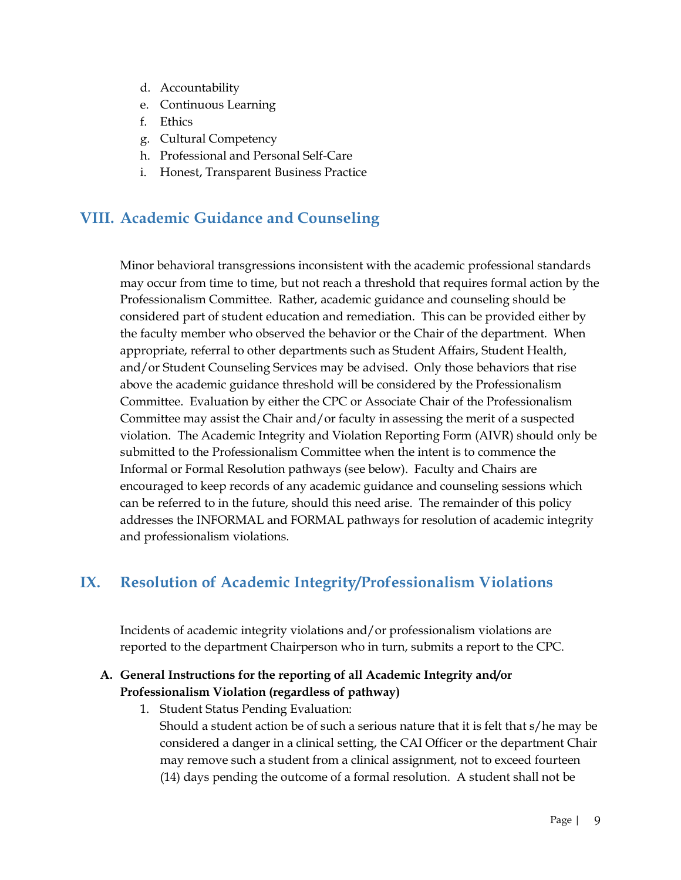- d. Accountability
- e. Continuous Learning
- f. Ethics
- g. Cultural Competency
- h. Professional and Personal Self-Care
- i. Honest, Transparent Business Practice

# **VIII. Academic Guidance and Counseling**

Minor behavioral transgressions inconsistent with the academic professional standards may occur from time to time, but not reach a threshold that requires formal action by the Professionalism Committee. Rather, academic guidance and counseling should be considered part of student education and remediation. This can be provided either by the faculty member who observed the behavior or the Chair of the department. When appropriate, referral to other departments such as Student Affairs, Student Health, and/or Student Counseling Services may be advised. Only those behaviors that rise above the academic guidance threshold will be considered by the Professionalism Committee. Evaluation by either the CPC or Associate Chair of the Professionalism Committee may assist the Chair and/or faculty in assessing the merit of a suspected violation. The Academic Integrity and Violation Reporting Form (AIVR) should only be submitted to the Professionalism Committee when the intent is to commence the Informal or Formal Resolution pathways (see below). Faculty and Chairs are encouraged to keep records of any academic guidance and counseling sessions which can be referred to in the future, should this need arise. The remainder of this policy addresses the INFORMAL and FORMAL pathways for resolution of academic integrity and professionalism violations.

# **IX. Resolution of Academic Integrity/Professionalism Violations**

Incidents of academic integrity violations and/or professionalism violations are reported to the department Chairperson who in turn, submits a report to the CPC.

#### **A. General Instructions for the reporting of all Academic Integrity and/or Professionalism Violation (regardless of pathway)**

1. Student Status Pending Evaluation: Should a student action be of such a serious nature that it is felt that s/he may be considered a danger in a clinical setting, the CAI Officer or the department Chair may remove such a student from a clinical assignment, not to exceed fourteen (14) days pending the outcome of a formal resolution. A student shall not be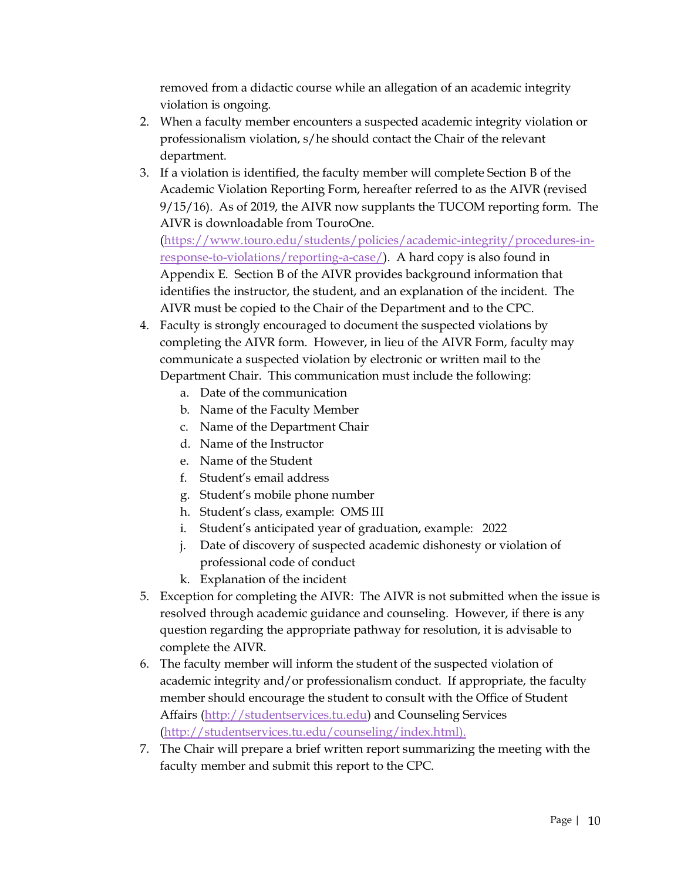removed from a didactic course while an allegation of an academic integrity violation is ongoing.

- 2. When a faculty member encounters a suspected academic integrity violation or professionalism violation, s/he should contact the Chair of the relevant department.
- 3. If a violation is identified, the faculty member will complete Section B of the Academic Violation Reporting Form, hereafter referred to as the AIVR (revised 9/15/16). As of 2019, the AIVR now supplants the TUCOM reporting form. The AIVR is downloadable from TouroOne. (https://www.touro.edu/students/policies/academic-integrity/procedures-inresponse-to-violations/reporting-a-case/). A hard copy is also found in Appendix E. Section B of the AIVR provides background information that identifies the instructor, the student, and an explanation of the incident. The AIVR must be copied to the Chair of the Department and to the CPC.
- 4. Faculty is strongly encouraged to document the suspected violations by completing the AIVR form. However, in lieu of the AIVR Form, faculty may communicate a suspected violation by electronic or written mail to the Department Chair. This communication must include the following:
	- a. Date of the communication
	- b. Name of the Faculty Member
	- c. Name of the Department Chair
	- d. Name of the Instructor
	- e. Name of the Student
	- f. Student's email address
	- g. Student's mobile phone number
	- h. Student's class, example: OMS III
	- i. Student's anticipated year of graduation, example: 2022
	- j. Date of discovery of suspected academic dishonesty or violation of professional code of conduct
	- k. Explanation of the incident
- 5. Exception for completing the AIVR: The AIVR is not submitted when the issue is resolved through academic guidance and counseling. However, if there is any question regarding the appropriate pathway for resolution, it is advisable to complete the AIVR.
- 6. The faculty member will inform the student of the suspected violation of academic integrity and/or professionalism conduct. If appropriate, the faculty member should encourage the student to consult with the Office of Student Affairs (http://studentservices.tu.edu) and Counseling Services (http://studentservices.tu.edu/counseling/index.html).
- 7. The Chair will prepare a brief written report summarizing the meeting with the faculty member and submit this report to the CPC.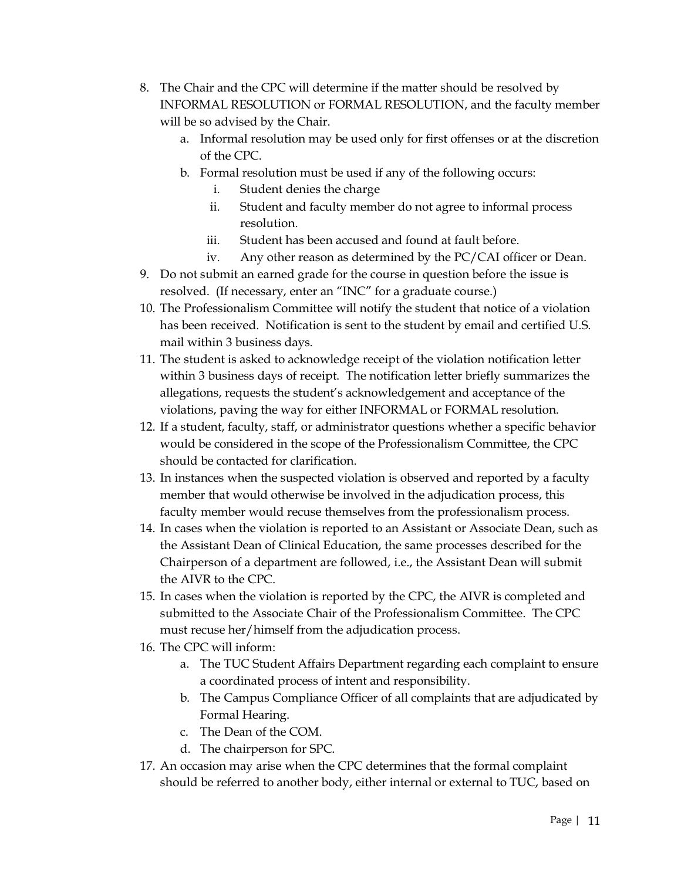- 8. The Chair and the CPC will determine if the matter should be resolved by INFORMAL RESOLUTION or FORMAL RESOLUTION, and the faculty member will be so advised by the Chair.
	- a. Informal resolution may be used only for first offenses or at the discretion of the CPC.
	- b. Formal resolution must be used if any of the following occurs:
		- i. Student denies the charge
		- ii. Student and faculty member do not agree to informal process resolution.
		- iii. Student has been accused and found at fault before.
		- iv. Any other reason as determined by the PC/CAI officer or Dean.
- 9. Do not submit an earned grade for the course in question before the issue is resolved. (If necessary, enter an "INC" for a graduate course.)
- 10. The Professionalism Committee will notify the student that notice of a violation has been received. Notification is sent to the student by email and certified U.S. mail within 3 business days.
- 11. The student is asked to acknowledge receipt of the violation notification letter within 3 business days of receipt. The notification letter briefly summarizes the allegations, requests the student's acknowledgement and acceptance of the violations, paving the way for either INFORMAL or FORMAL resolution.
- 12. If a student, faculty, staff, or administrator questions whether a specific behavior would be considered in the scope of the Professionalism Committee, the CPC should be contacted for clarification.
- 13. In instances when the suspected violation is observed and reported by a faculty member that would otherwise be involved in the adjudication process, this faculty member would recuse themselves from the professionalism process.
- 14. In cases when the violation is reported to an Assistant or Associate Dean, such as the Assistant Dean of Clinical Education, the same processes described for the Chairperson of a department are followed, i.e., the Assistant Dean will submit the AIVR to the CPC.
- 15. In cases when the violation is reported by the CPC, the AIVR is completed and submitted to the Associate Chair of the Professionalism Committee. The CPC must recuse her/himself from the adjudication process.
- 16. The CPC will inform:
	- a. The TUC Student Affairs Department regarding each complaint to ensure a coordinated process of intent and responsibility.
	- b. The Campus Compliance Officer of all complaints that are adjudicated by Formal Hearing.
	- c. The Dean of the COM.
	- d. The chairperson for SPC.
- 17. An occasion may arise when the CPC determines that the formal complaint should be referred to another body, either internal or external to TUC, based on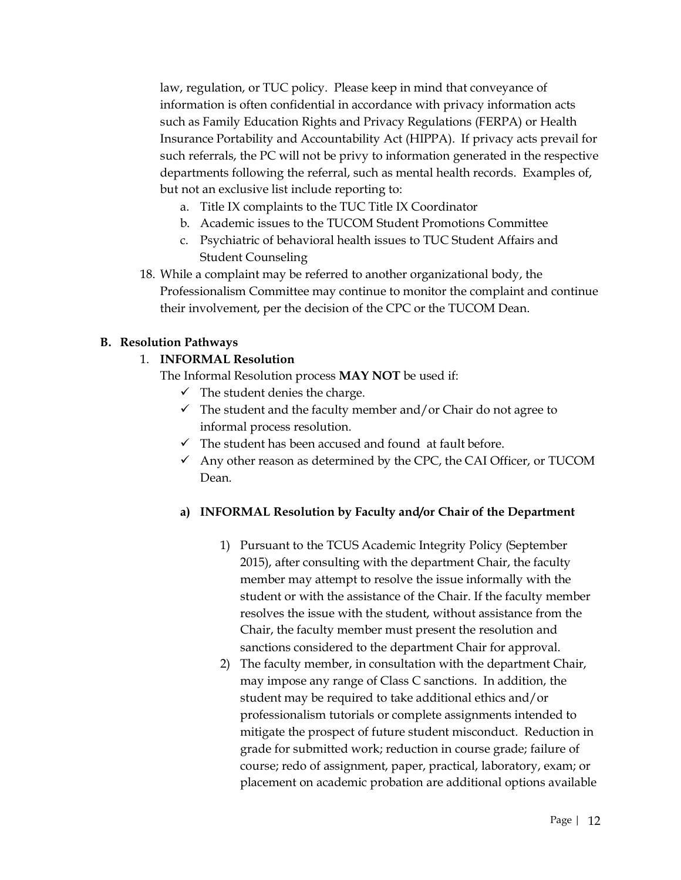law, regulation, or TUC policy. Please keep in mind that conveyance of information is often confidential in accordance with privacy information acts such as Family Education Rights and Privacy Regulations (FERPA) or Health Insurance Portability and Accountability Act (HIPPA). If privacy acts prevail for such referrals, the PC will not be privy to information generated in the respective departments following the referral, such as mental health records. Examples of, but not an exclusive list include reporting to:

- a. Title IX complaints to the TUC Title IX Coordinator
- b. Academic issues to the TUCOM Student Promotions Committee
- c. Psychiatric of behavioral health issues to TUC Student Affairs and Student Counseling
- 18. While a complaint may be referred to another organizational body, the Professionalism Committee may continue to monitor the complaint and continue their involvement, per the decision of the CPC or the TUCOM Dean.

#### **B. Resolution Pathways**

#### 1. **INFORMAL Resolution**

The Informal Resolution process **MAY NOT** be used if:

- $\checkmark$  The student denies the charge.
- $\checkmark$  The student and the faculty member and/or Chair do not agree to informal process resolution.
- $\checkmark$  The student has been accused and found at fault before.
- $\checkmark$  Any other reason as determined by the CPC, the CAI Officer, or TUCOM Dean.

#### **a) INFORMAL Resolution by Faculty and/or Chair of the Department**

- 1) Pursuant to the TCUS Academic Integrity Policy (September 2015), after consulting with the department Chair, the faculty member may attempt to resolve the issue informally with the student or with the assistance of the Chair. If the faculty member resolves the issue with the student, without assistance from the Chair, the faculty member must present the resolution and sanctions considered to the department Chair for approval.
- 2) The faculty member, in consultation with the department Chair, may impose any range of Class C sanctions. In addition, the student may be required to take additional ethics and/or professionalism tutorials or complete assignments intended to mitigate the prospect of future student misconduct. Reduction in grade for submitted work; reduction in course grade; failure of course; redo of assignment, paper, practical, laboratory, exam; or placement on academic probation are additional options available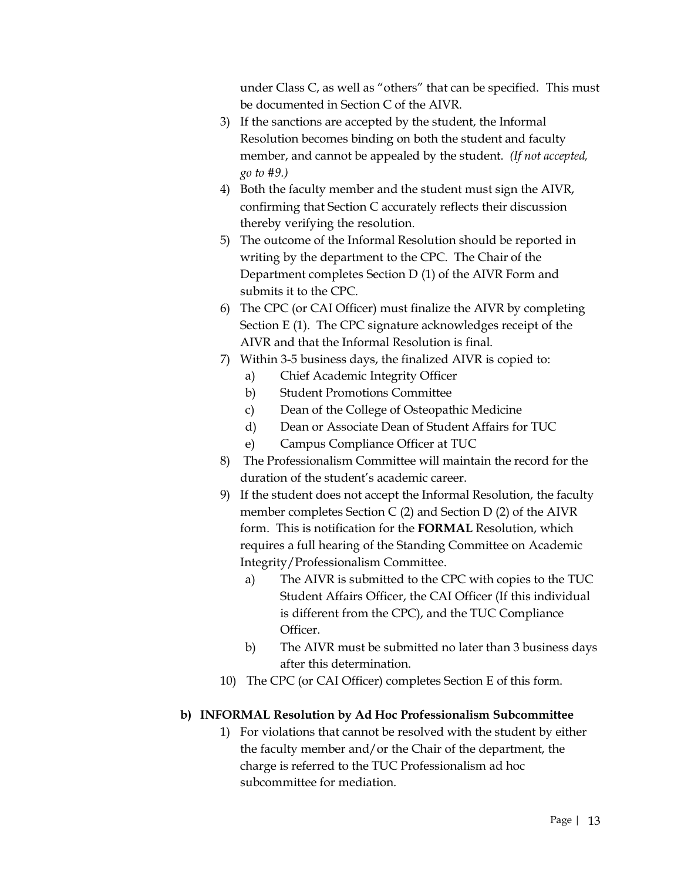under Class C, as well as "others" that can be specified. This must be documented in Section C of the AIVR.

- 3) If the sanctions are accepted by the student, the Informal Resolution becomes binding on both the student and faculty member, and cannot be appealed by the student. *(If not accepted, go to #9.)*
- 4) Both the faculty member and the student must sign the AIVR, confirming that Section C accurately reflects their discussion thereby verifying the resolution.
- 5) The outcome of the Informal Resolution should be reported in writing by the department to the CPC. The Chair of the Department completes Section D (1) of the AIVR Form and submits it to the CPC.
- 6) The CPC (or CAI Officer) must finalize the AIVR by completing Section E (1). The CPC signature acknowledges receipt of the AIVR and that the Informal Resolution is final.
- 7) Within 3-5 business days, the finalized AIVR is copied to:
	- a) Chief Academic Integrity Officer
	- b) Student Promotions Committee
	- c) Dean of the College of Osteopathic Medicine
	- d) Dean or Associate Dean of Student Affairs for TUC
	- e) Campus Compliance Officer at TUC
- 8) The Professionalism Committee will maintain the record for the duration of the student's academic career.
- 9) If the student does not accept the Informal Resolution, the faculty member completes Section C (2) and Section D (2) of the AIVR form. This is notification for the **FORMAL** Resolution, which requires a full hearing of the Standing Committee on Academic Integrity/Professionalism Committee.
	- a) The AIVR is submitted to the CPC with copies to the TUC Student Affairs Officer, the CAI Officer (If this individual is different from the CPC), and the TUC Compliance Officer.
	- b) The AIVR must be submitted no later than 3 business days after this determination.
- 10) The CPC (or CAI Officer) completes Section E of this form.

#### **b) INFORMAL Resolution by Ad Hoc Professionalism Subcommittee**

1) For violations that cannot be resolved with the student by either the faculty member and/or the Chair of the department, the charge is referred to the TUC Professionalism ad hoc subcommittee for mediation.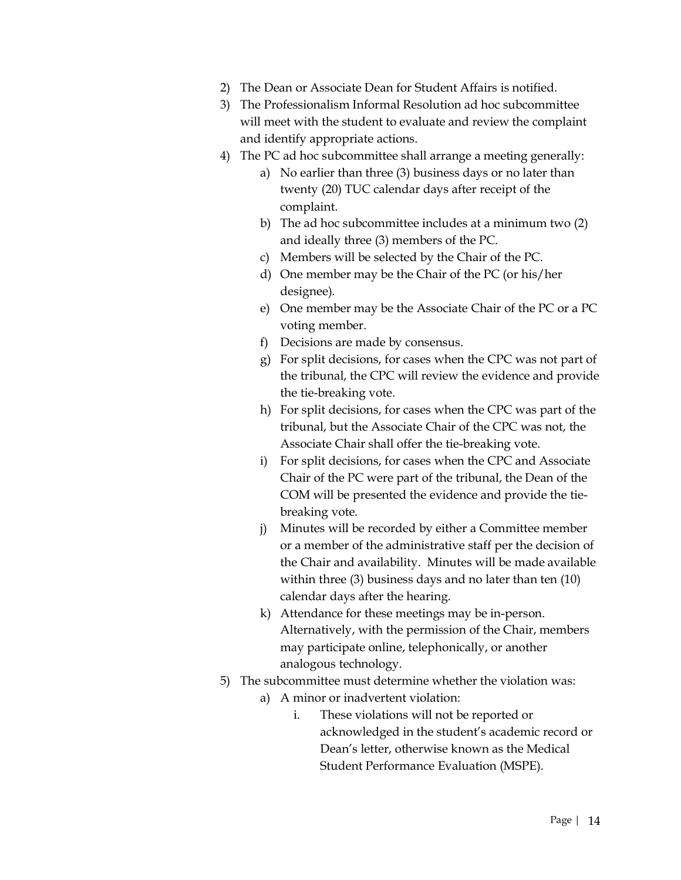- 2) The Dean or Associate Dean for Student Affairs is notified.
- 3) The Professionalism Informal Resolution ad hoc subcommittee will meet with the student to evaluate and review the complaint and identify appropriate actions.
- 4) The PC ad hoc subcommittee shall arrange a meeting generally:
	- a) No earlier than three (3) business days or no later than twenty (20) TUC calendar days after receipt of the complaint.
	- b) The ad hoc subcommittee includes at a minimum two (2) and ideally three (3) members of the PC.
	- c) Members will be selected by the Chair of the PC.
	- d) One member may be the Chair of the PC (or his/her designee).
	- e) One member may be the Associate Chair of the PC or a PC voting member.
	- f) Decisions are made by consensus.
	- g) For split decisions, for cases when the CPC was not part of the tribunal, the CPC will review the evidence and provide the tie-breaking vote.
	- h) For split decisions, for cases when the CPC was part of the tribunal, but the Associate Chair of the CPC was not, the Associate Chair shall offer the tie-breaking vote.
	- i) For split decisions, for cases when the CPC and Associate Chair of the PC were part of the tribunal, the Dean of the COM will be presented the evidence and provide the tiebreaking vote.
	- j) Minutes will be recorded by either a Committee member or a member of the administrative staff per the decision of the Chair and availability. Minutes will be made available within three (3) business days and no later than ten (10) calendar days after the hearing.
	- k) Attendance for these meetings may be in-person. Alternatively, with the permission of the Chair, members may participate online, telephonically, or another analogous technology.
- 5) The subcommittee must determine whether the violation was:
	- a) A minor or inadvertent violation:
		- i. These violations will not be reported or acknowledged in the student's academic record or Dean's letter, otherwise known as the Medical Student Performance Evaluation (MSPE).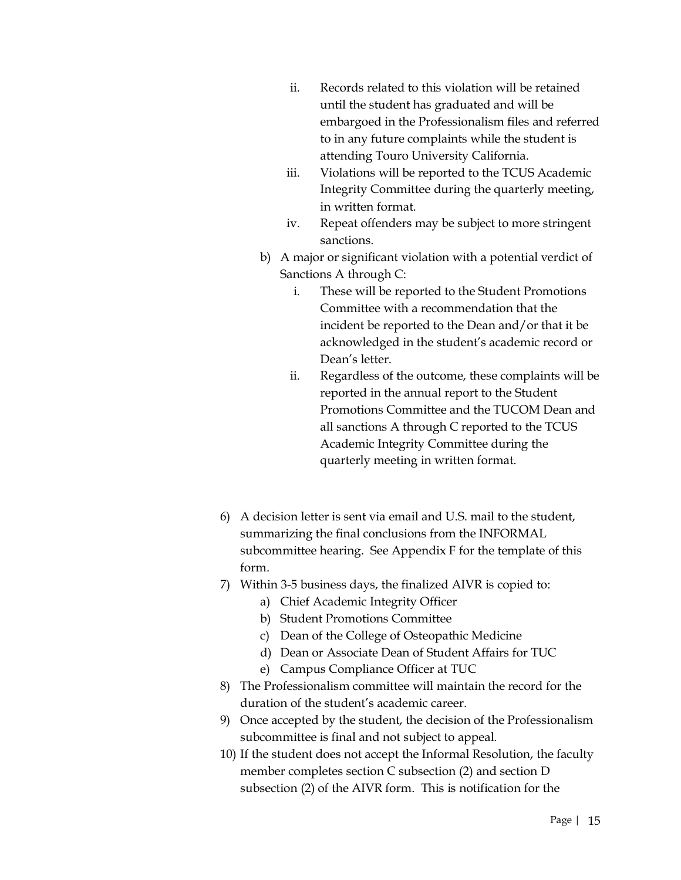- ii. Records related to this violation will be retained until the student has graduated and will be embargoed in the Professionalism files and referred to in any future complaints while the student is attending Touro University California.
- iii. Violations will be reported to the TCUS Academic Integrity Committee during the quarterly meeting, in written format.
- iv. Repeat offenders may be subject to more stringent sanctions.
- b) A major or significant violation with a potential verdict of Sanctions A through C:
	- i. These will be reported to the Student Promotions Committee with a recommendation that the incident be reported to the Dean and/or that it be acknowledged in the student's academic record or Dean's letter.
	- ii. Regardless of the outcome, these complaints will be reported in the annual report to the Student Promotions Committee and the TUCOM Dean and all sanctions A through C reported to the TCUS Academic Integrity Committee during the quarterly meeting in written format.
- 6) A decision letter is sent via email and U.S. mail to the student, summarizing the final conclusions from the INFORMAL subcommittee hearing. See Appendix F for the template of this form.
- 7) Within 3-5 business days, the finalized AIVR is copied to:
	- a) Chief Academic Integrity Officer
	- b) Student Promotions Committee
	- c) Dean of the College of Osteopathic Medicine
	- d) Dean or Associate Dean of Student Affairs for TUC
	- e) Campus Compliance Officer at TUC
- 8) The Professionalism committee will maintain the record for the duration of the student's academic career.
- 9) Once accepted by the student, the decision of the Professionalism subcommittee is final and not subject to appeal.
- 10) If the student does not accept the Informal Resolution, the faculty member completes section C subsection (2) and section D subsection (2) of the AIVR form. This is notification for the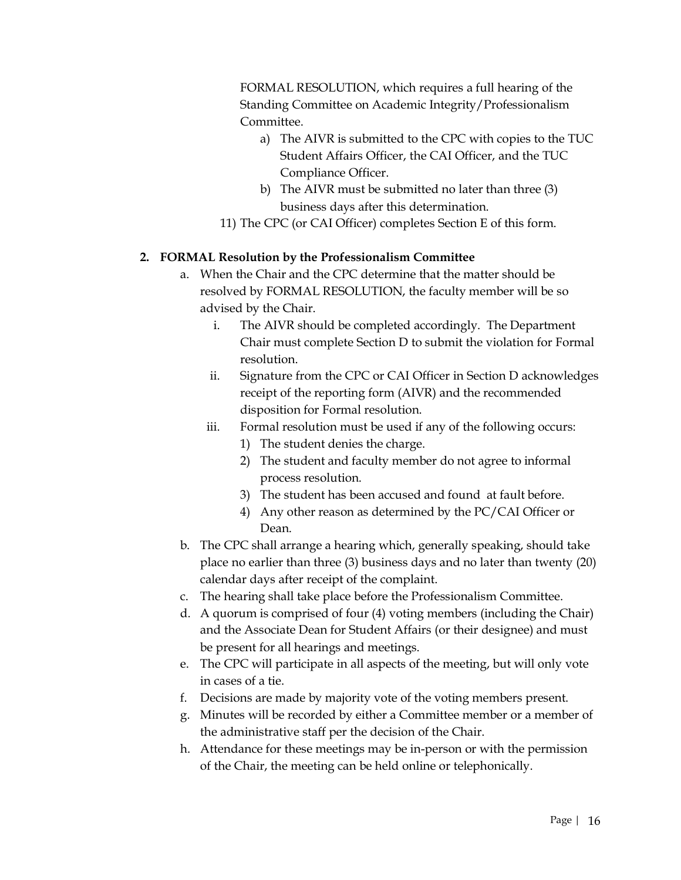FORMAL RESOLUTION, which requires a full hearing of the Standing Committee on Academic Integrity/Professionalism Committee.

- a) The AIVR is submitted to the CPC with copies to the TUC Student Affairs Officer, the CAI Officer, and the TUC Compliance Officer.
- b) The AIVR must be submitted no later than three (3) business days after this determination.
- 11) The CPC (or CAI Officer) completes Section E of this form.

#### **2. FORMAL Resolution by the Professionalism Committee**

- a. When the Chair and the CPC determine that the matter should be resolved by FORMAL RESOLUTION, the faculty member will be so advised by the Chair.
	- i. The AIVR should be completed accordingly. The Department Chair must complete Section D to submit the violation for Formal resolution.
	- ii. Signature from the CPC or CAI Officer in Section D acknowledges receipt of the reporting form (AIVR) and the recommended disposition for Formal resolution.
	- iii. Formal resolution must be used if any of the following occurs:
		- 1) The student denies the charge.
		- 2) The student and faculty member do not agree to informal process resolution.
		- 3) The student has been accused and found at fault before.
		- 4) Any other reason as determined by the PC/CAI Officer or Dean.
- b. The CPC shall arrange a hearing which, generally speaking, should take place no earlier than three (3) business days and no later than twenty (20) calendar days after receipt of the complaint.
- c. The hearing shall take place before the Professionalism Committee.
- d. A quorum is comprised of four (4) voting members (including the Chair) and the Associate Dean for Student Affairs (or their designee) and must be present for all hearings and meetings.
- e. The CPC will participate in all aspects of the meeting, but will only vote in cases of a tie.
- f. Decisions are made by majority vote of the voting members present.
- g. Minutes will be recorded by either a Committee member or a member of the administrative staff per the decision of the Chair.
- h. Attendance for these meetings may be in-person or with the permission of the Chair, the meeting can be held online or telephonically.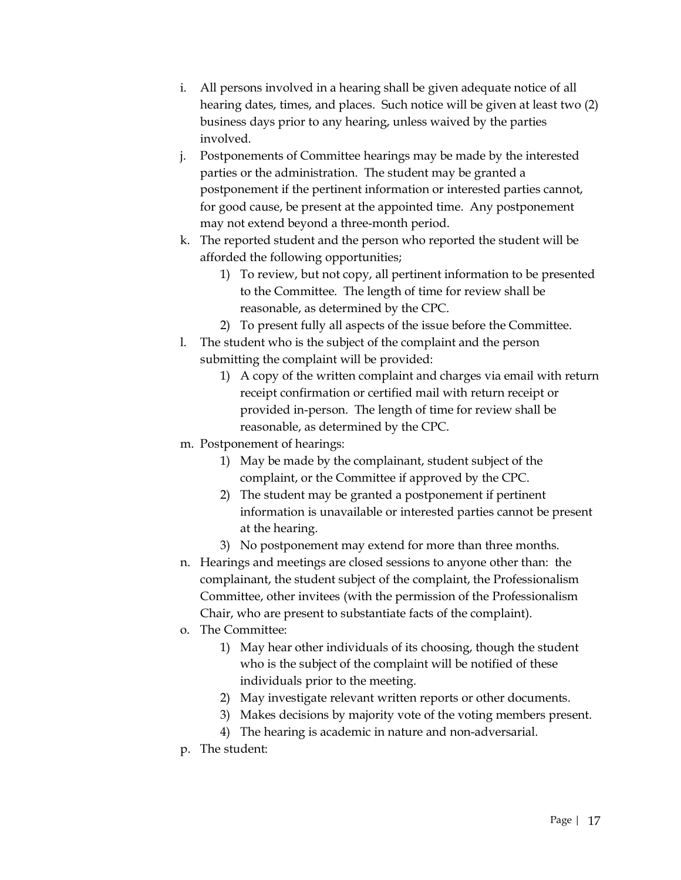- i. All persons involved in a hearing shall be given adequate notice of all hearing dates, times, and places. Such notice will be given at least two (2) business days prior to any hearing, unless waived by the parties involved.
- j. Postponements of Committee hearings may be made by the interested parties or the administration. The student may be granted a postponement if the pertinent information or interested parties cannot, for good cause, be present at the appointed time. Any postponement may not extend beyond a three-month period.
- k. The reported student and the person who reported the student will be afforded the following opportunities;
	- 1) To review, but not copy, all pertinent information to be presented to the Committee. The length of time for review shall be reasonable, as determined by the CPC.
	- 2) To present fully all aspects of the issue before the Committee.
- l. The student who is the subject of the complaint and the person submitting the complaint will be provided:
	- 1) A copy of the written complaint and charges via email with return receipt confirmation or certified mail with return receipt or provided in-person. The length of time for review shall be reasonable, as determined by the CPC.
- m. Postponement of hearings:
	- 1) May be made by the complainant, student subject of the complaint, or the Committee if approved by the CPC.
	- 2) The student may be granted a postponement if pertinent information is unavailable or interested parties cannot be present at the hearing.
	- 3) No postponement may extend for more than three months.
- n. Hearings and meetings are closed sessions to anyone other than: the complainant, the student subject of the complaint, the Professionalism Committee, other invitees (with the permission of the Professionalism Chair, who are present to substantiate facts of the complaint).
- o. The Committee:
	- 1) May hear other individuals of its choosing, though the student who is the subject of the complaint will be notified of these individuals prior to the meeting.
	- 2) May investigate relevant written reports or other documents.
	- 3) Makes decisions by majority vote of the voting members present.
	- 4) The hearing is academic in nature and non-adversarial.
- p. The student: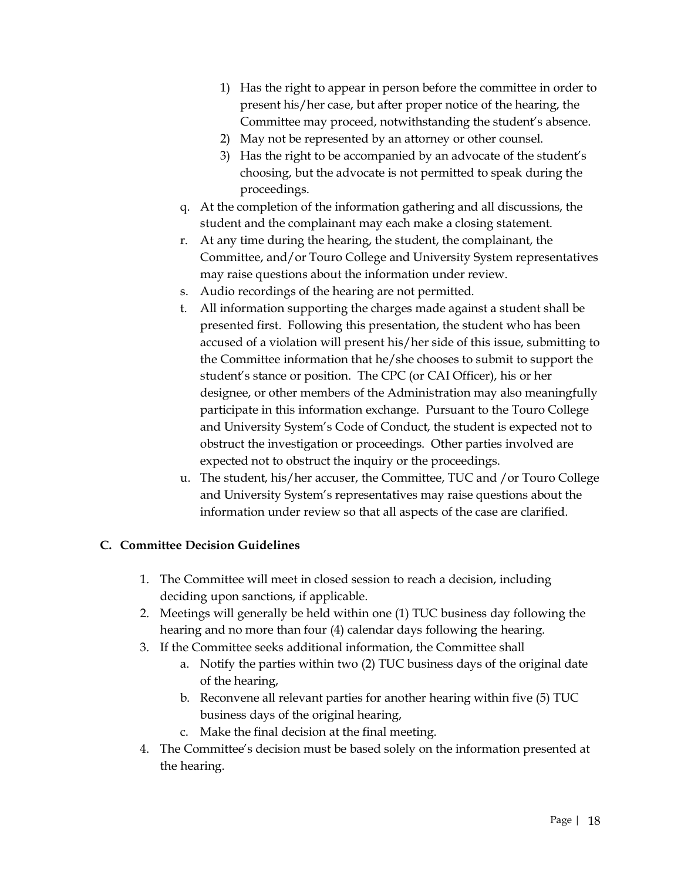- 1) Has the right to appear in person before the committee in order to present his/her case, but after proper notice of the hearing, the Committee may proceed, notwithstanding the student's absence.
- 2) May not be represented by an attorney or other counsel.
- 3) Has the right to be accompanied by an advocate of the student's choosing, but the advocate is not permitted to speak during the proceedings.
- q. At the completion of the information gathering and all discussions, the student and the complainant may each make a closing statement.
- r. At any time during the hearing, the student, the complainant, the Committee, and/or Touro College and University System representatives may raise questions about the information under review.
- s. Audio recordings of the hearing are not permitted.
- t. All information supporting the charges made against a student shall be presented first. Following this presentation, the student who has been accused of a violation will present his/her side of this issue, submitting to the Committee information that he/she chooses to submit to support the student's stance or position. The CPC (or CAI Officer), his or her designee, or other members of the Administration may also meaningfully participate in this information exchange. Pursuant to the Touro College and University System's Code of Conduct, the student is expected not to obstruct the investigation or proceedings. Other parties involved are expected not to obstruct the inquiry or the proceedings.
- u. The student, his/her accuser, the Committee, TUC and /or Touro College and University System's representatives may raise questions about the information under review so that all aspects of the case are clarified.

#### **C. Committee Decision Guidelines**

- 1. The Committee will meet in closed session to reach a decision, including deciding upon sanctions, if applicable.
- 2. Meetings will generally be held within one (1) TUC business day following the hearing and no more than four (4) calendar days following the hearing.
- 3. If the Committee seeks additional information, the Committee shall
	- a. Notify the parties within two (2) TUC business days of the original date of the hearing,
	- b. Reconvene all relevant parties for another hearing within five (5) TUC business days of the original hearing,
	- c. Make the final decision at the final meeting.
- 4. The Committee's decision must be based solely on the information presented at the hearing.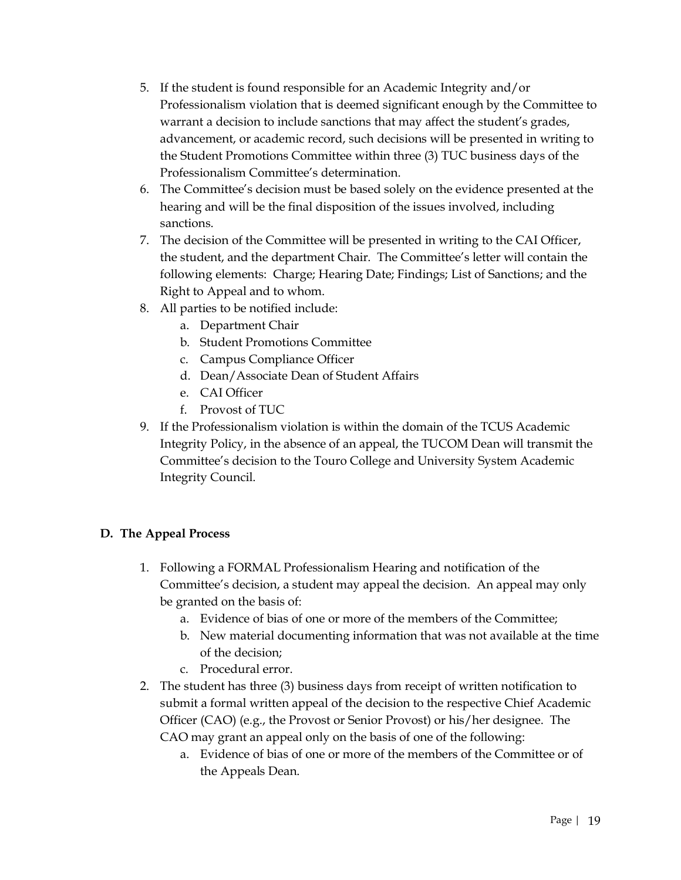- 5. If the student is found responsible for an Academic Integrity and/or Professionalism violation that is deemed significant enough by the Committee to warrant a decision to include sanctions that may affect the student's grades, advancement, or academic record, such decisions will be presented in writing to the Student Promotions Committee within three (3) TUC business days of the Professionalism Committee's determination.
- 6. The Committee's decision must be based solely on the evidence presented at the hearing and will be the final disposition of the issues involved, including sanctions.
- 7. The decision of the Committee will be presented in writing to the CAI Officer, the student, and the department Chair. The Committee's letter will contain the following elements: Charge; Hearing Date; Findings; List of Sanctions; and the Right to Appeal and to whom.
- 8. All parties to be notified include:
	- a. Department Chair
	- b. Student Promotions Committee
	- c. Campus Compliance Officer
	- d. Dean/Associate Dean of Student Affairs
	- e. CAI Officer
	- f. Provost of TUC
- 9. If the Professionalism violation is within the domain of the TCUS Academic Integrity Policy, in the absence of an appeal, the TUCOM Dean will transmit the Committee's decision to the Touro College and University System Academic Integrity Council.

#### **D. The Appeal Process**

- 1. Following a FORMAL Professionalism Hearing and notification of the Committee's decision, a student may appeal the decision. An appeal may only be granted on the basis of:
	- a. Evidence of bias of one or more of the members of the Committee;
	- b. New material documenting information that was not available at the time of the decision;
	- c. Procedural error.
- 2. The student has three (3) business days from receipt of written notification to submit a formal written appeal of the decision to the respective Chief Academic Officer (CAO) (e.g., the Provost or Senior Provost) or his/her designee. The CAO may grant an appeal only on the basis of one of the following:
	- a. Evidence of bias of one or more of the members of the Committee or of the Appeals Dean.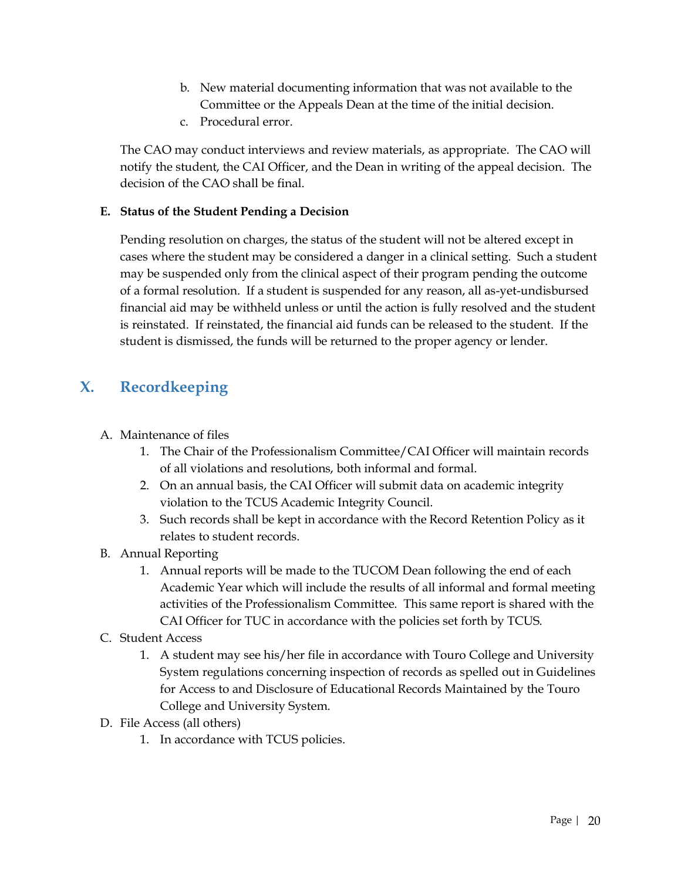- b. New material documenting information that was not available to the Committee or the Appeals Dean at the time of the initial decision.
- c. Procedural error.

The CAO may conduct interviews and review materials, as appropriate. The CAO will notify the student, the CAI Officer, and the Dean in writing of the appeal decision. The decision of the CAO shall be final.

#### **E. Status of the Student Pending a Decision**

Pending resolution on charges, the status of the student will not be altered except in cases where the student may be considered a danger in a clinical setting. Such a student may be suspended only from the clinical aspect of their program pending the outcome of a formal resolution. If a student is suspended for any reason, all as-yet-undisbursed financial aid may be withheld unless or until the action is fully resolved and the student is reinstated. If reinstated, the financial aid funds can be released to the student. If the student is dismissed, the funds will be returned to the proper agency or lender.

# **X. Recordkeeping**

- A. Maintenance of files
	- 1. The Chair of the Professionalism Committee/CAI Officer will maintain records of all violations and resolutions, both informal and formal.
	- 2. On an annual basis, the CAI Officer will submit data on academic integrity violation to the TCUS Academic Integrity Council.
	- 3. Such records shall be kept in accordance with the Record Retention Policy as it relates to student records.
- B. Annual Reporting
	- 1. Annual reports will be made to the TUCOM Dean following the end of each Academic Year which will include the results of all informal and formal meeting activities of the Professionalism Committee. This same report is shared with the CAI Officer for TUC in accordance with the policies set forth by TCUS.
- C. Student Access
	- 1. A student may see his/her file in accordance with Touro College and University System regulations concerning inspection of records as spelled out in Guidelines for Access to and Disclosure of Educational Records Maintained by the Touro College and University System.
- D. File Access (all others)
	- 1. In accordance with TCUS policies.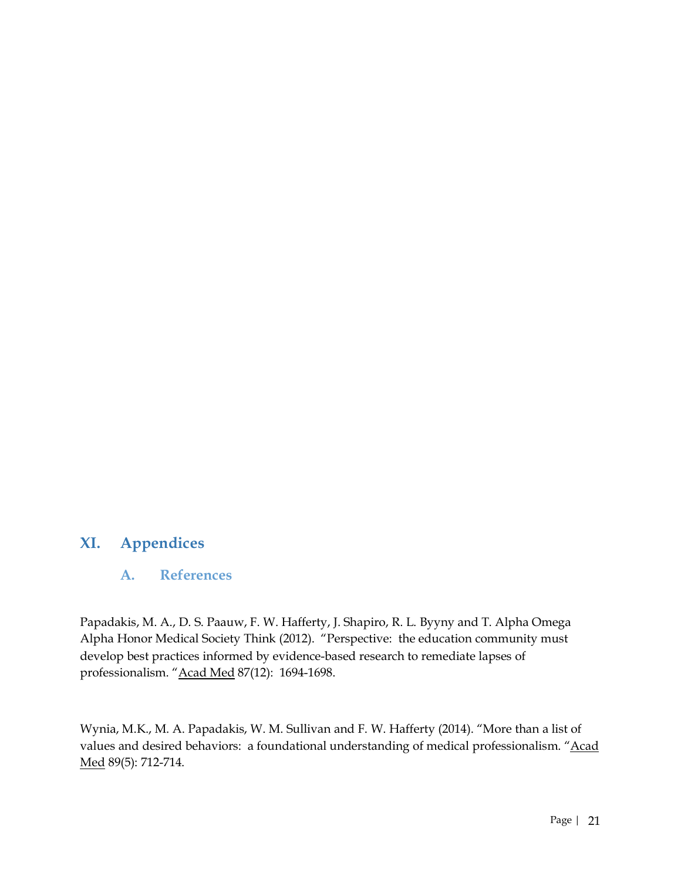## **XI. Appendices**

#### **A. References**

Papadakis, M. A., D. S. Paauw, F. W. Hafferty, J. Shapiro, R. L. Byyny and T. Alpha Omega Alpha Honor Medical Society Think (2012). "Perspective: the education community must develop best practices informed by evidence-based research to remediate lapses of professionalism. "Acad Med 87(12): 1694-1698.

Wynia, M.K., M. A. Papadakis, W. M. Sullivan and F. W. Hafferty (2014). "More than a list of values and desired behaviors: a foundational understanding of medical professionalism. "Acad Med 89(5): 712-714.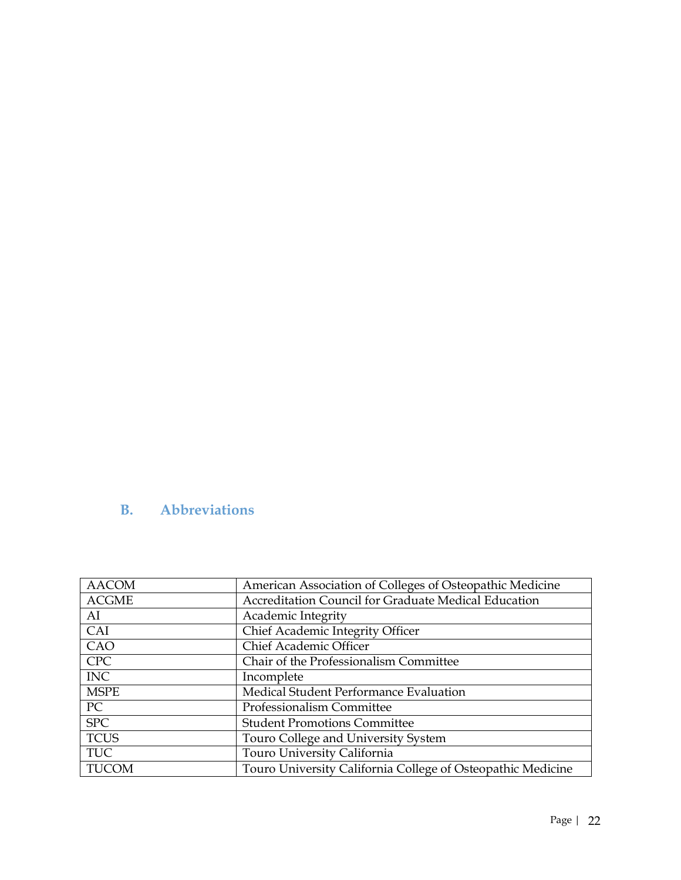# **B. Abbreviations**

| <b>AACOM</b> | American Association of Colleges of Osteopathic Medicine    |
|--------------|-------------------------------------------------------------|
| <b>ACGME</b> | Accreditation Council for Graduate Medical Education        |
| AI           | Academic Integrity                                          |
| CAI          | Chief Academic Integrity Officer                            |
| CAO          | <b>Chief Academic Officer</b>                               |
| <b>CPC</b>   | Chair of the Professionalism Committee                      |
| <b>INC</b>   | Incomplete                                                  |
| <b>MSPE</b>  | Medical Student Performance Evaluation                      |
| PC           | Professionalism Committee                                   |
| <b>SPC</b>   | <b>Student Promotions Committee</b>                         |
| <b>TCUS</b>  | Touro College and University System                         |
| <b>TUC</b>   | Touro University California                                 |
| <b>TUCOM</b> | Touro University California College of Osteopathic Medicine |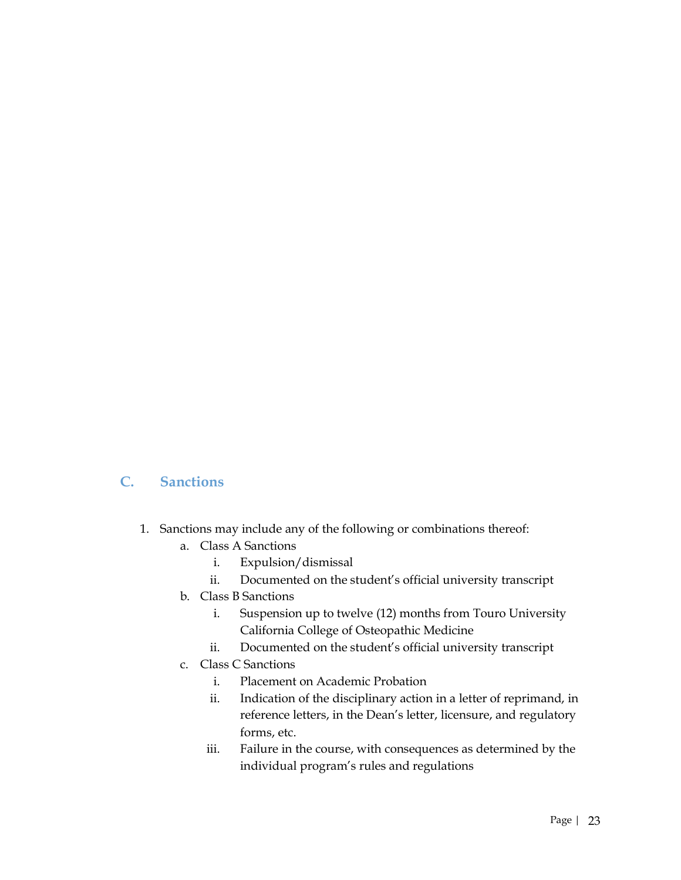#### **C. Sanctions**

- 1. Sanctions may include any of the following or combinations thereof:
	- a. Class A Sanctions
		- i. Expulsion/dismissal
		- ii. Documented on the student's official university transcript
	- b. Class B Sanctions
		- i. Suspension up to twelve (12) months from Touro University California College of Osteopathic Medicine
		- ii. Documented on the student's official university transcript
	- c. Class C Sanctions
		- i. Placement on Academic Probation
		- ii. Indication of the disciplinary action in a letter of reprimand, in reference letters, in the Dean's letter, licensure, and regulatory forms, etc.
		- iii. Failure in the course, with consequences as determined by the individual program's rules and regulations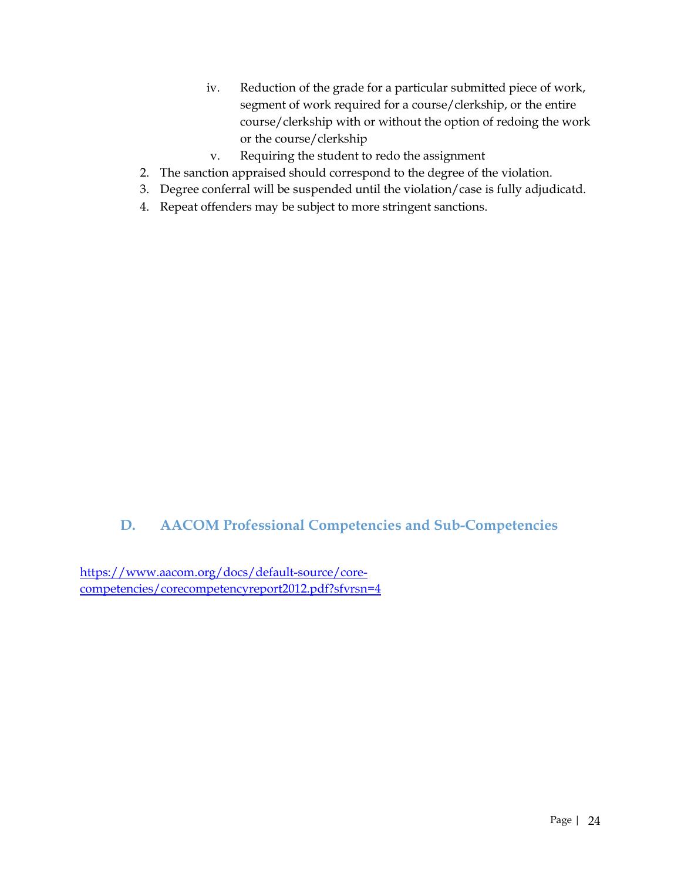- iv. Reduction of the grade for a particular submitted piece of work, segment of work required for a course/clerkship, or the entire course/clerkship with or without the option of redoing the work or the course/clerkship
- v. Requiring the student to redo the assignment
- 2. The sanction appraised should correspond to the degree of the violation.
- 3. Degree conferral will be suspended until the violation/case is fully adjudicatd.
- 4. Repeat offenders may be subject to more stringent sanctions.

# **D. AACOM Professional Competencies and Sub-Competencies**

https://www.aacom.org/docs/default-source/corecompetencies/corecompetencyreport2012.pdf?sfvrsn=4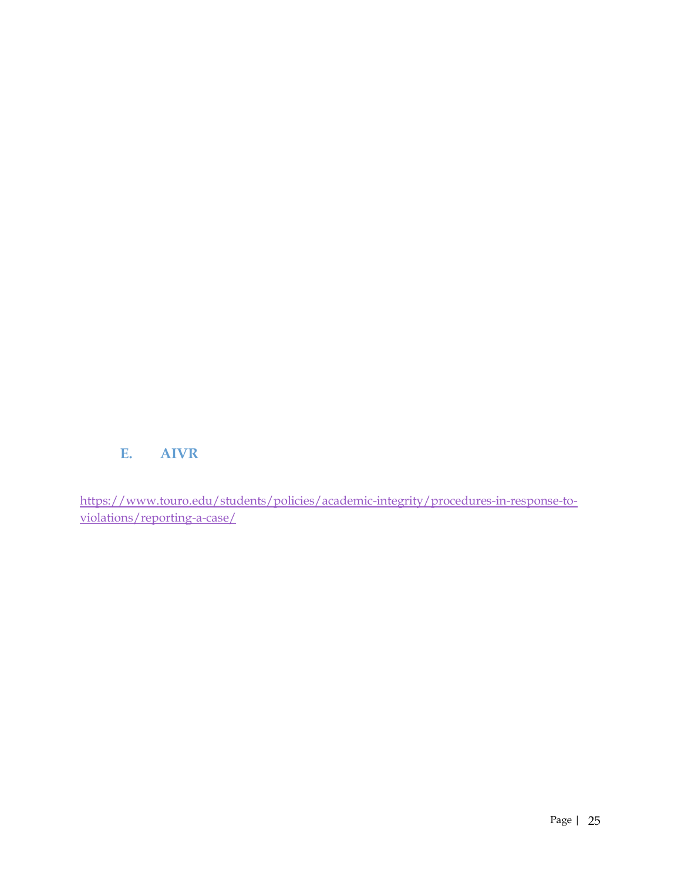# **E. AIVR**

https://www.touro.edu/students/policies/academic-integrity/procedures-in-response-toviolations/reporting-a-case/